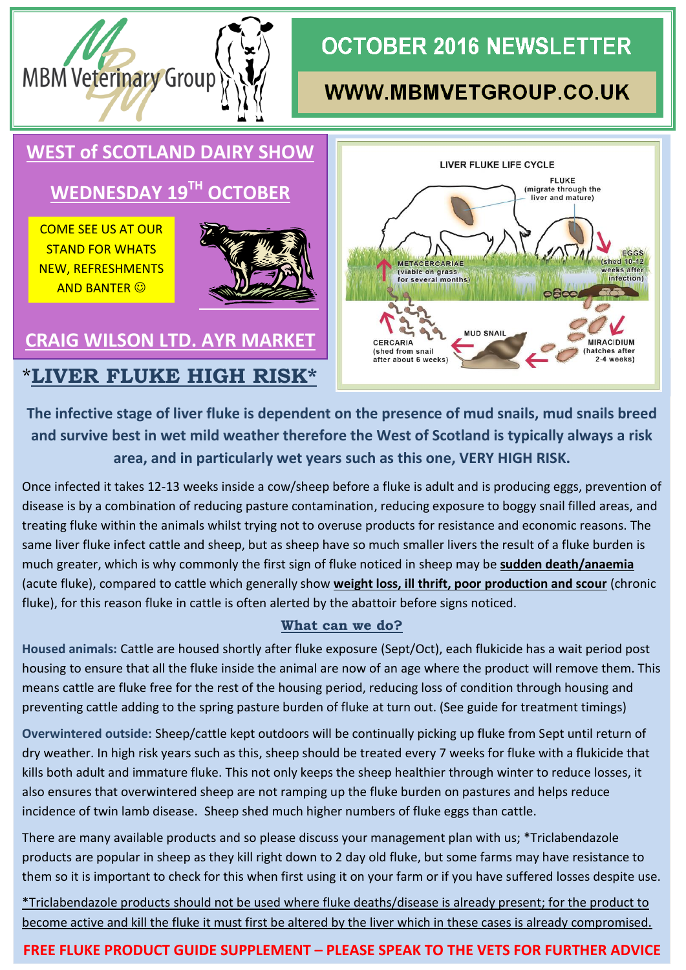

# **OCTOBER 2016 NEWSLETTER**

## **WWW.MBMVETGROUP.CO.UK**



**The infective stage of liver fluke is dependent on the presence of mud snails, mud snails breed and survive best in wet mild weather therefore the West of Scotland is typically always a risk area, and in particularly wet years such as this one, VERY HIGH RISK.**

Once infected it takes 12-13 weeks inside a cow/sheep before a fluke is adult and is producing eggs, prevention of disease is by a combination of reducing pasture contamination, reducing exposure to boggy snail filled areas, and treating fluke within the animals whilst trying not to overuse products for resistance and economic reasons. The same liver fluke infect cattle and sheep, but as sheep have so much smaller livers the result of a fluke burden is much greater, which is why commonly the first sign of fluke noticed in sheep may be **sudden death/anaemia** (acute fluke), compared to cattle which generally show **weight loss, ill thrift, poor production and scour** (chronic fluke), for this reason fluke in cattle is often alerted by the abattoir before signs noticed.

### **What can we do?**

**Housed animals:** Cattle are housed shortly after fluke exposure (Sept/Oct), each flukicide has a wait period post housing to ensure that all the fluke inside the animal are now of an age where the product will remove them. This means cattle are fluke free for the rest of the housing period, reducing loss of condition through housing and preventing cattle adding to the spring pasture burden of fluke at turn out. (See guide for treatment timings)

**Overwintered outside:** Sheep/cattle kept outdoors will be continually picking up fluke from Sept until return of dry weather. In high risk years such as this, sheep should be treated every 7 weeks for fluke with a flukicide that kills both adult and immature fluke. This not only keeps the sheep healthier through winter to reduce losses, it also ensures that overwintered sheep are not ramping up the fluke burden on pastures and helps reduce incidence of twin lamb disease. Sheep shed much higher numbers of fluke eggs than cattle.

There are many available products and so please discuss your management plan with us; \*Triclabendazole products are popular in sheep as they kill right down to 2 day old fluke, but some farms may have resistance to them so it is important to check for this when first using it on your farm or if you have suffered losses despite use.

\*Triclabendazole products should not be used where fluke deaths/disease is already present; for the product to become active and kill the fluke it must first be altered by the liver which in these cases is already compromised.

### **FREE FLUKE PRODUCT GUIDE SUPPLEMENT – PLEASE SPEAK TO THE VETS FOR FURTHER ADVICE**